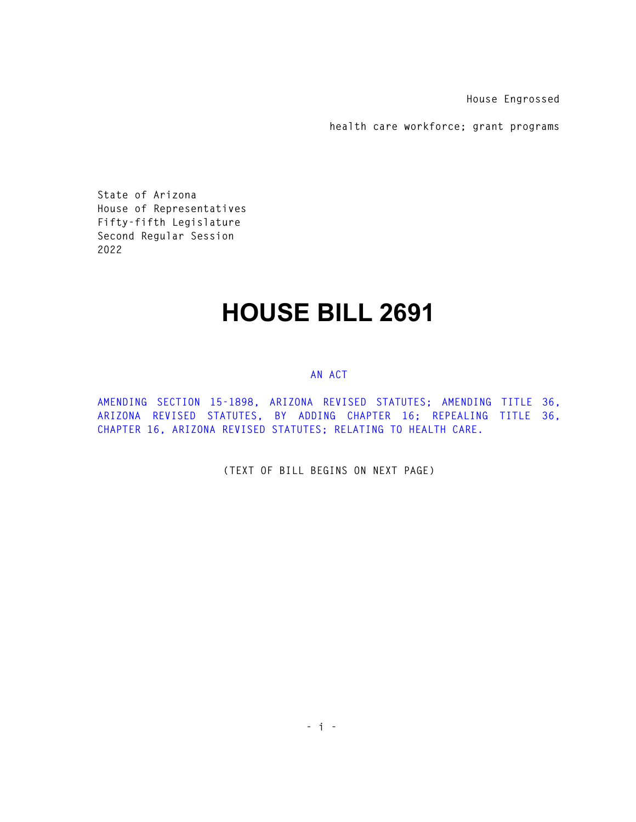**House Engrossed** 

**health care workforce; grant programs** 

**State of Arizona House of Representatives Fifty-fifth Legislature Second Regular Session 2022** 

## **HOUSE BILL 2691**

## **AN ACT**

**AMENDING SECTION 15-1898, ARIZONA REVISED STATUTES; AMENDING TITLE 36, ARIZONA REVISED STATUTES, BY ADDING CHAPTER 16; REPEALING TITLE 36, CHAPTER 16, ARIZONA REVISED STATUTES; RELATING TO HEALTH CARE.** 

**(TEXT OF BILL BEGINS ON NEXT PAGE)**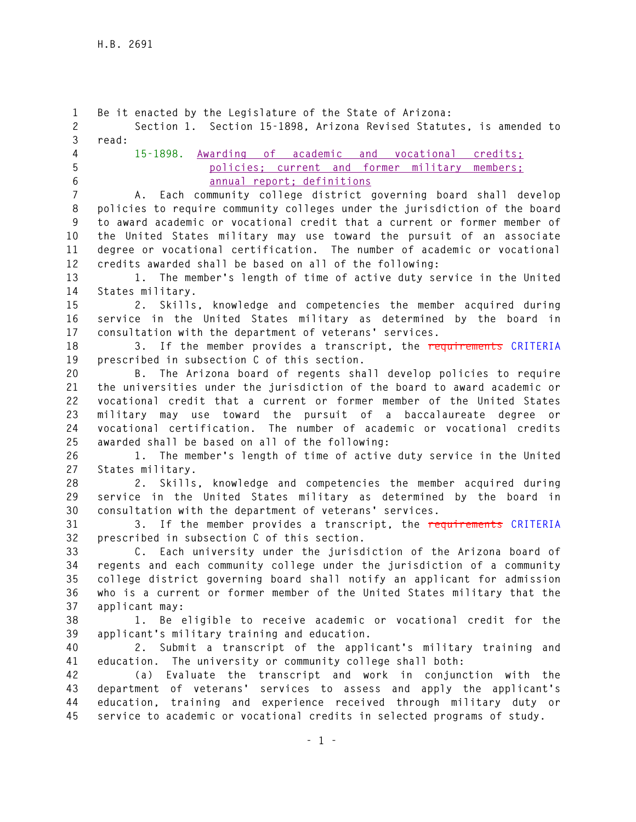**1 Be it enacted by the Legislature of the State of Arizona: 2 Section 1. Section 15-1898, Arizona Revised Statutes, is amended to 3 read: 4 15-1898. Awarding of academic and vocational credits; 5 policies; current and former military members; 6 annual report; definitions 7 A. Each community college district governing board shall develop 8 policies to require community colleges under the jurisdiction of the board 9 to award academic or vocational credit that a current or former member of 10 the United States military may use toward the pursuit of an associate 11 degree or vocational certification. The number of academic or vocational 12 credits awarded shall be based on all of the following: 13 1. The member's length of time of active duty service in the United 14 States military. 15 2. Skills, knowledge and competencies the member acquired during 16 service in the United States military as determined by the board in 17 consultation with the department of veterans' services. 18 3. If the member provides a transcript, the requirements CRITERIA 19 prescribed in subsection C of this section. 20 B. The Arizona board of regents shall develop policies to require 21 the universities under the jurisdiction of the board to award academic or 22 vocational credit that a current or former member of the United States 23 military may use toward the pursuit of a baccalaureate degree or 24 vocational certification. The number of academic or vocational credits 25 awarded shall be based on all of the following: 26 1. The member's length of time of active duty service in the United 27 States military. 28 2. Skills, knowledge and competencies the member acquired during 29 service in the United States military as determined by the board in 30 consultation with the department of veterans' services. 31 3. If the member provides a transcript, the requirements CRITERIA 32 prescribed in subsection C of this section. 33 C. Each university under the jurisdiction of the Arizona board of 34 regents and each community college under the jurisdiction of a community 35 college district governing board shall notify an applicant for admission 36 who is a current or former member of the United States military that the 37 applicant may: 38 1. Be eligible to receive academic or vocational credit for the 39 applicant's military training and education. 40 2. Submit a transcript of the applicant's military training and 41 education. The university or community college shall both: 42 (a) Evaluate the transcript and work in conjunction with the 43 department of veterans' services to assess and apply the applicant's 44 education, training and experience received through military duty or 45 service to academic or vocational credits in selected programs of study.**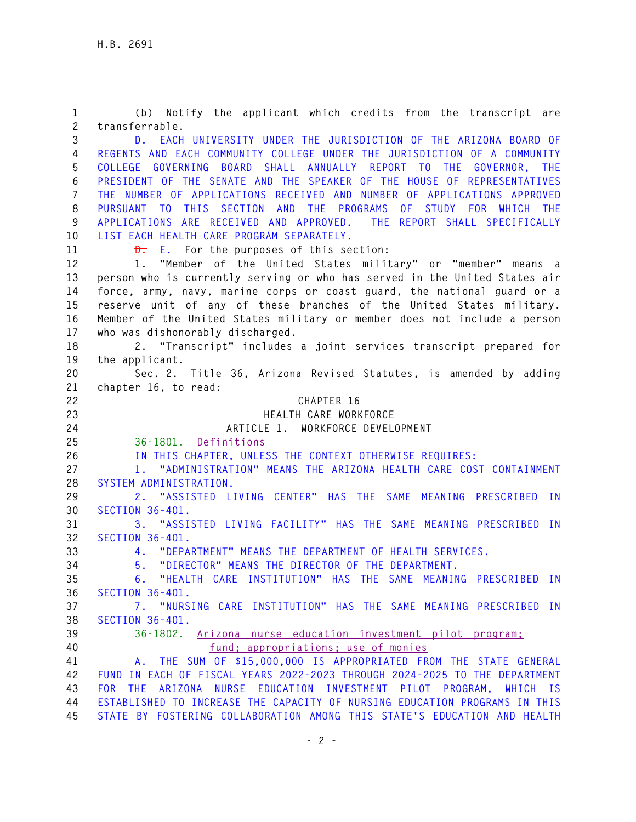**1 (b) Notify the applicant which credits from the transcript are 2 transferrable. 3 D. EACH UNIVERSITY UNDER THE JURISDICTION OF THE ARIZONA BOARD OF 4 REGENTS AND EACH COMMUNITY COLLEGE UNDER THE JURISDICTION OF A COMMUNITY 5 COLLEGE GOVERNING BOARD SHALL ANNUALLY REPORT TO THE GOVERNOR, THE 6 PRESIDENT OF THE SENATE AND THE SPEAKER OF THE HOUSE OF REPRESENTATIVES 7 THE NUMBER OF APPLICATIONS RECEIVED AND NUMBER OF APPLICATIONS APPROVED 8 PURSUANT TO THIS SECTION AND THE PROGRAMS OF STUDY FOR WHICH THE 9 APPLICATIONS ARE RECEIVED AND APPROVED. THE REPORT SHALL SPECIFICALLY 10 LIST EACH HEALTH CARE PROGRAM SEPARATELY.**  11 **D.** E. For the purposes of this section: **12 1. "Member of the United States military" or "member" means a 13 person who is currently serving or who has served in the United States air 14 force, army, navy, marine corps or coast guard, the national guard or a 15 reserve unit of any of these branches of the United States military. 16 Member of the United States military or member does not include a person 17 who was dishonorably discharged. 18 2. "Transcript" includes a joint services transcript prepared for 19 the applicant. 20 Sec. 2. Title 36, Arizona Revised Statutes, is amended by adding 21 chapter 16, to read: 22 CHAPTER 16 23 HEALTH CARE WORKFORCE 24 ARTICLE 1. WORKFORCE DEVELOPMENT 25 36-1801. Definitions 26 IN THIS CHAPTER, UNLESS THE CONTEXT OTHERWISE REQUIRES: 27 1. "ADMINISTRATION" MEANS THE ARIZONA HEALTH CARE COST CONTAINMENT 28 SYSTEM ADMINISTRATION. 29 2. "ASSISTED LIVING CENTER" HAS THE SAME MEANING PRESCRIBED IN 30 SECTION 36-401. 31 3. "ASSISTED LIVING FACILITY" HAS THE SAME MEANING PRESCRIBED IN 32 SECTION 36-401. 33 4. "DEPARTMENT" MEANS THE DEPARTMENT OF HEALTH SERVICES. 34 5. "DIRECTOR" MEANS THE DIRECTOR OF THE DEPARTMENT. 35 6. "HEALTH CARE INSTITUTION" HAS THE SAME MEANING PRESCRIBED IN 36 SECTION 36-401. 37 7. "NURSING CARE INSTITUTION" HAS THE SAME MEANING PRESCRIBED IN 38 SECTION 36-401. 39 36-1802. Arizona nurse education investment pilot program; 40 fund; appropriations; use of monies 41 A. THE SUM OF \$15,000,000 IS APPROPRIATED FROM THE STATE GENERAL 42 FUND IN EACH OF FISCAL YEARS 2022-2023 THROUGH 2024-2025 TO THE DEPARTMENT 43 FOR THE ARIZONA NURSE EDUCATION INVESTMENT PILOT PROGRAM, WHICH IS 44 ESTABLISHED TO INCREASE THE CAPACITY OF NURSING EDUCATION PROGRAMS IN THIS 45 STATE BY FOSTERING COLLABORATION AMONG THIS STATE'S EDUCATION AND HEALTH**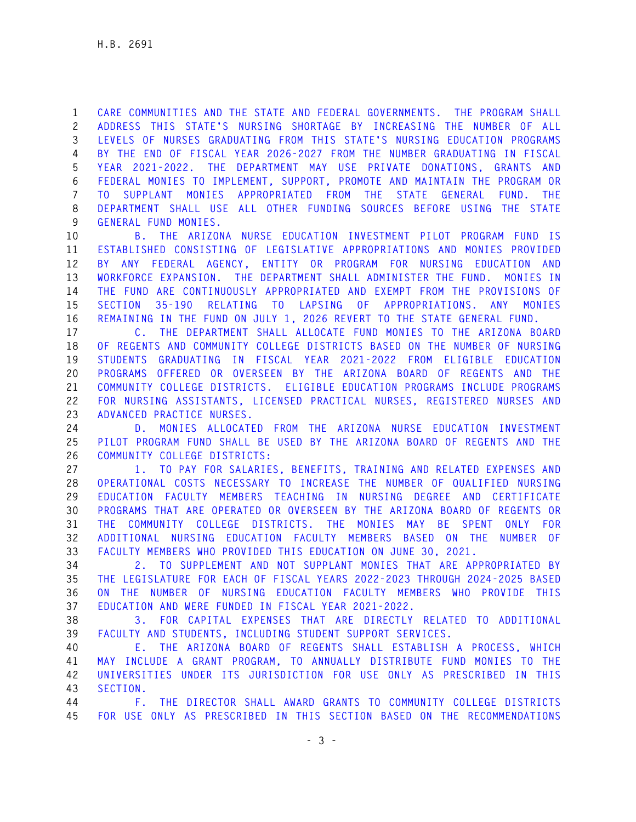**1 CARE COMMUNITIES AND THE STATE AND FEDERAL GOVERNMENTS. THE PROGRAM SHALL 2 ADDRESS THIS STATE'S NURSING SHORTAGE BY INCREASING THE NUMBER OF ALL 3 LEVELS OF NURSES GRADUATING FROM THIS STATE'S NURSING EDUCATION PROGRAMS 4 BY THE END OF FISCAL YEAR 2026-2027 FROM THE NUMBER GRADUATING IN FISCAL 5 YEAR 2021-2022. THE DEPARTMENT MAY USE PRIVATE DONATIONS, GRANTS AND 6 FEDERAL MONIES TO IMPLEMENT, SUPPORT, PROMOTE AND MAINTAIN THE PROGRAM OR 7 TO SUPPLANT MONIES APPROPRIATED FROM THE STATE GENERAL FUND. THE 8 DEPARTMENT SHALL USE ALL OTHER FUNDING SOURCES BEFORE USING THE STATE 9 GENERAL FUND MONIES.** 

**10 B. THE ARIZONA NURSE EDUCATION INVESTMENT PILOT PROGRAM FUND IS 11 ESTABLISHED CONSISTING OF LEGISLATIVE APPROPRIATIONS AND MONIES PROVIDED 12 BY ANY FEDERAL AGENCY, ENTITY OR PROGRAM FOR NURSING EDUCATION AND 13 WORKFORCE EXPANSION. THE DEPARTMENT SHALL ADMINISTER THE FUND. MONIES IN 14 THE FUND ARE CONTINUOUSLY APPROPRIATED AND EXEMPT FROM THE PROVISIONS OF 15 SECTION 35-190 RELATING TO LAPSING OF APPROPRIATIONS. ANY MONIES 16 REMAINING IN THE FUND ON JULY 1, 2026 REVERT TO THE STATE GENERAL FUND.** 

**17 C. THE DEPARTMENT SHALL ALLOCATE FUND MONIES TO THE ARIZONA BOARD 18 OF REGENTS AND COMMUNITY COLLEGE DISTRICTS BASED ON THE NUMBER OF NURSING 19 STUDENTS GRADUATING IN FISCAL YEAR 2021-2022 FROM ELIGIBLE EDUCATION 20 PROGRAMS OFFERED OR OVERSEEN BY THE ARIZONA BOARD OF REGENTS AND THE 21 COMMUNITY COLLEGE DISTRICTS. ELIGIBLE EDUCATION PROGRAMS INCLUDE PROGRAMS 22 FOR NURSING ASSISTANTS, LICENSED PRACTICAL NURSES, REGISTERED NURSES AND 23 ADVANCED PRACTICE NURSES.** 

**24 D. MONIES ALLOCATED FROM THE ARIZONA NURSE EDUCATION INVESTMENT 25 PILOT PROGRAM FUND SHALL BE USED BY THE ARIZONA BOARD OF REGENTS AND THE 26 COMMUNITY COLLEGE DISTRICTS:** 

**27 1. TO PAY FOR SALARIES, BENEFITS, TRAINING AND RELATED EXPENSES AND 28 OPERATIONAL COSTS NECESSARY TO INCREASE THE NUMBER OF QUALIFIED NURSING 29 EDUCATION FACULTY MEMBERS TEACHING IN NURSING DEGREE AND CERTIFICATE 30 PROGRAMS THAT ARE OPERATED OR OVERSEEN BY THE ARIZONA BOARD OF REGENTS OR 31 THE COMMUNITY COLLEGE DISTRICTS. THE MONIES MAY BE SPENT ONLY FOR 32 ADDITIONAL NURSING EDUCATION FACULTY MEMBERS BASED ON THE NUMBER OF 33 FACULTY MEMBERS WHO PROVIDED THIS EDUCATION ON JUNE 30, 2021.** 

**34 2. TO SUPPLEMENT AND NOT SUPPLANT MONIES THAT ARE APPROPRIATED BY 35 THE LEGISLATURE FOR EACH OF FISCAL YEARS 2022-2023 THROUGH 2024-2025 BASED 36 ON THE NUMBER OF NURSING EDUCATION FACULTY MEMBERS WHO PROVIDE THIS 37 EDUCATION AND WERE FUNDED IN FISCAL YEAR 2021-2022.** 

**38 3. FOR CAPITAL EXPENSES THAT ARE DIRECTLY RELATED TO ADDITIONAL 39 FACULTY AND STUDENTS, INCLUDING STUDENT SUPPORT SERVICES.** 

**40 E. THE ARIZONA BOARD OF REGENTS SHALL ESTABLISH A PROCESS, WHICH 41 MAY INCLUDE A GRANT PROGRAM, TO ANNUALLY DISTRIBUTE FUND MONIES TO THE 42 UNIVERSITIES UNDER ITS JURISDICTION FOR USE ONLY AS PRESCRIBED IN THIS 43 SECTION.** 

**44 F. THE DIRECTOR SHALL AWARD GRANTS TO COMMUNITY COLLEGE DISTRICTS 45 FOR USE ONLY AS PRESCRIBED IN THIS SECTION BASED ON THE RECOMMENDATIONS**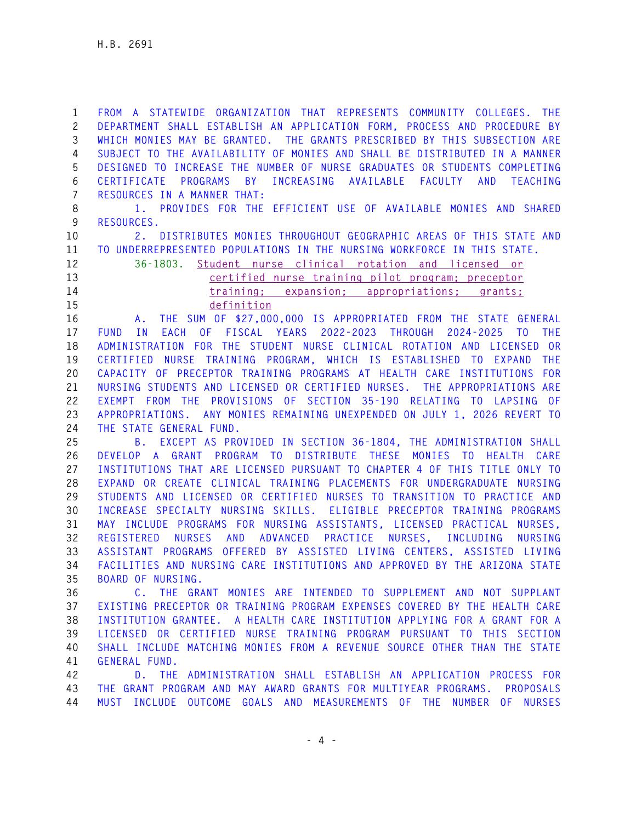**1 FROM A STATEWIDE ORGANIZATION THAT REPRESENTS COMMUNITY COLLEGES. THE 2 DEPARTMENT SHALL ESTABLISH AN APPLICATION FORM, PROCESS AND PROCEDURE BY 3 WHICH MONIES MAY BE GRANTED. THE GRANTS PRESCRIBED BY THIS SUBSECTION ARE 4 SUBJECT TO THE AVAILABILITY OF MONIES AND SHALL BE DISTRIBUTED IN A MANNER 5 DESIGNED TO INCREASE THE NUMBER OF NURSE GRADUATES OR STUDENTS COMPLETING 6 CERTIFICATE PROGRAMS BY INCREASING AVAILABLE FACULTY AND TEACHING 7 RESOURCES IN A MANNER THAT:** 

**8 1. PROVIDES FOR THE EFFICIENT USE OF AVAILABLE MONIES AND SHARED 9 RESOURCES.** 

**10 2. DISTRIBUTES MONIES THROUGHOUT GEOGRAPHIC AREAS OF THIS STATE AND 11 TO UNDERREPRESENTED POPULATIONS IN THE NURSING WORKFORCE IN THIS STATE.**

**12 36-1803. Student nurse clinical rotation and licensed or 13 certified nurse training pilot program; preceptor 14 training; expansion; appropriations; grants; 15 definition** 

**16 A. THE SUM OF \$27,000,000 IS APPROPRIATED FROM THE STATE GENERAL 17 FUND IN EACH OF FISCAL YEARS 2022-2023 THROUGH 2024-2025 TO THE 18 ADMINISTRATION FOR THE STUDENT NURSE CLINICAL ROTATION AND LICENSED OR 19 CERTIFIED NURSE TRAINING PROGRAM, WHICH IS ESTABLISHED TO EXPAND THE 20 CAPACITY OF PRECEPTOR TRAINING PROGRAMS AT HEALTH CARE INSTITUTIONS FOR 21 NURSING STUDENTS AND LICENSED OR CERTIFIED NURSES. THE APPROPRIATIONS ARE 22 EXEMPT FROM THE PROVISIONS OF SECTION 35-190 RELATING TO LAPSING OF 23 APPROPRIATIONS. ANY MONIES REMAINING UNEXPENDED ON JULY 1, 2026 REVERT TO 24 THE STATE GENERAL FUND.** 

**25 B. EXCEPT AS PROVIDED IN SECTION 36-1804, THE ADMINISTRATION SHALL 26 DEVELOP A GRANT PROGRAM TO DISTRIBUTE THESE MONIES TO HEALTH CARE 27 INSTITUTIONS THAT ARE LICENSED PURSUANT TO CHAPTER 4 OF THIS TITLE ONLY TO 28 EXPAND OR CREATE CLINICAL TRAINING PLACEMENTS FOR UNDERGRADUATE NURSING 29 STUDENTS AND LICENSED OR CERTIFIED NURSES TO TRANSITION TO PRACTICE AND 30 INCREASE SPECIALTY NURSING SKILLS. ELIGIBLE PRECEPTOR TRAINING PROGRAMS 31 MAY INCLUDE PROGRAMS FOR NURSING ASSISTANTS, LICENSED PRACTICAL NURSES, 32 REGISTERED NURSES AND ADVANCED PRACTICE NURSES, INCLUDING NURSING 33 ASSISTANT PROGRAMS OFFERED BY ASSISTED LIVING CENTERS, ASSISTED LIVING 34 FACILITIES AND NURSING CARE INSTITUTIONS AND APPROVED BY THE ARIZONA STATE 35 BOARD OF NURSING.** 

**36 C. THE GRANT MONIES ARE INTENDED TO SUPPLEMENT AND NOT SUPPLANT 37 EXISTING PRECEPTOR OR TRAINING PROGRAM EXPENSES COVERED BY THE HEALTH CARE 38 INSTITUTION GRANTEE. A HEALTH CARE INSTITUTION APPLYING FOR A GRANT FOR A 39 LICENSED OR CERTIFIED NURSE TRAINING PROGRAM PURSUANT TO THIS SECTION 40 SHALL INCLUDE MATCHING MONIES FROM A REVENUE SOURCE OTHER THAN THE STATE 41 GENERAL FUND.** 

**42 D. THE ADMINISTRATION SHALL ESTABLISH AN APPLICATION PROCESS FOR 43 THE GRANT PROGRAM AND MAY AWARD GRANTS FOR MULTIYEAR PROGRAMS. PROPOSALS 44 MUST INCLUDE OUTCOME GOALS AND MEASUREMENTS OF THE NUMBER OF NURSES**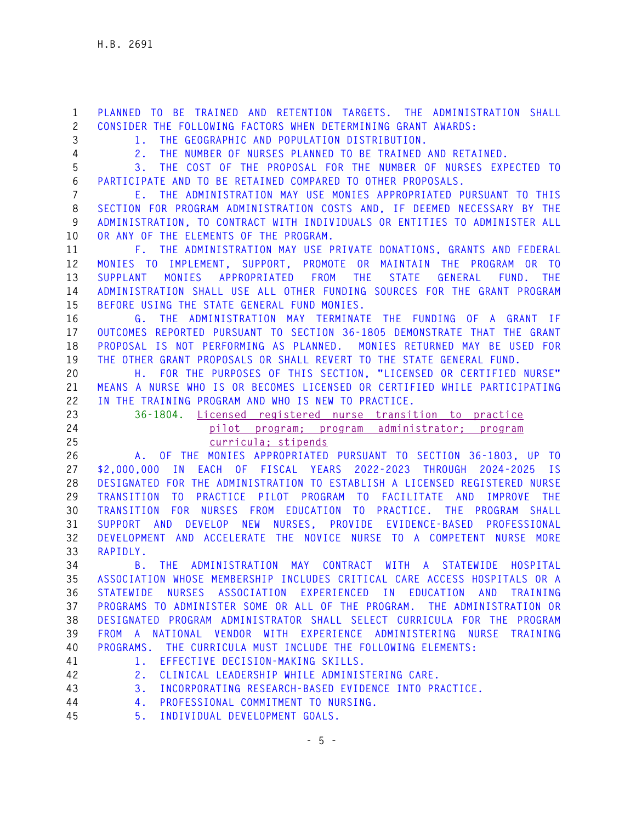**1 PLANNED TO BE TRAINED AND RETENTION TARGETS. THE ADMINISTRATION SHALL 2 CONSIDER THE FOLLOWING FACTORS WHEN DETERMINING GRANT AWARDS: 3 1. THE GEOGRAPHIC AND POPULATION DISTRIBUTION. 4 2. THE NUMBER OF NURSES PLANNED TO BE TRAINED AND RETAINED. 5 3. THE COST OF THE PROPOSAL FOR THE NUMBER OF NURSES EXPECTED TO 6 PARTICIPATE AND TO BE RETAINED COMPARED TO OTHER PROPOSALS. 7 E. THE ADMINISTRATION MAY USE MONIES APPROPRIATED PURSUANT TO THIS 8 SECTION FOR PROGRAM ADMINISTRATION COSTS AND, IF DEEMED NECESSARY BY THE 9 ADMINISTRATION, TO CONTRACT WITH INDIVIDUALS OR ENTITIES TO ADMINISTER ALL 10 OR ANY OF THE ELEMENTS OF THE PROGRAM. 11 F. THE ADMINISTRATION MAY USE PRIVATE DONATIONS, GRANTS AND FEDERAL 12 MONIES TO IMPLEMENT, SUPPORT, PROMOTE OR MAINTAIN THE PROGRAM OR TO 13 SUPPLANT MONIES APPROPRIATED FROM THE STATE GENERAL FUND. THE 14 ADMINISTRATION SHALL USE ALL OTHER FUNDING SOURCES FOR THE GRANT PROGRAM 15 BEFORE USING THE STATE GENERAL FUND MONIES. 16 G. THE ADMINISTRATION MAY TERMINATE THE FUNDING OF A GRANT IF 17 OUTCOMES REPORTED PURSUANT TO SECTION 36-1805 DEMONSTRATE THAT THE GRANT 18 PROPOSAL IS NOT PERFORMING AS PLANNED. MONIES RETURNED MAY BE USED FOR 19 THE OTHER GRANT PROPOSALS OR SHALL REVERT TO THE STATE GENERAL FUND. 20 H. FOR THE PURPOSES OF THIS SECTION, "LICENSED OR CERTIFIED NURSE" 21 MEANS A NURSE WHO IS OR BECOMES LICENSED OR CERTIFIED WHILE PARTICIPATING 22 IN THE TRAINING PROGRAM AND WHO IS NEW TO PRACTICE. 23 36-1804. Licensed registered nurse transition to practice 24 pilot program; program administrator; program 25 curricula; stipends 26 A. OF THE MONIES APPROPRIATED PURSUANT TO SECTION 36-1803, UP TO 27 \$2,000,000 IN EACH OF FISCAL YEARS 2022-2023 THROUGH 2024-2025 IS 28 DESIGNATED FOR THE ADMINISTRATION TO ESTABLISH A LICENSED REGISTERED NURSE 29 TRANSITION TO PRACTICE PILOT PROGRAM TO FACILITATE AND IMPROVE THE 30 TRANSITION FOR NURSES FROM EDUCATION TO PRACTICE. THE PROGRAM SHALL 31 SUPPORT AND DEVELOP NEW NURSES, PROVIDE EVIDENCE-BASED PROFESSIONAL 32 DEVELOPMENT AND ACCELERATE THE NOVICE NURSE TO A COMPETENT NURSE MORE 33 RAPIDLY. 34 B. THE ADMINISTRATION MAY CONTRACT WITH A STATEWIDE HOSPITAL 35 ASSOCIATION WHOSE MEMBERSHIP INCLUDES CRITICAL CARE ACCESS HOSPITALS OR A 36 STATEWIDE NURSES ASSOCIATION EXPERIENCED IN EDUCATION AND TRAINING 37 PROGRAMS TO ADMINISTER SOME OR ALL OF THE PROGRAM. THE ADMINISTRATION OR 38 DESIGNATED PROGRAM ADMINISTRATOR SHALL SELECT CURRICULA FOR THE PROGRAM 39 FROM A NATIONAL VENDOR WITH EXPERIENCE ADMINISTERING NURSE TRAINING 40 PROGRAMS. THE CURRICULA MUST INCLUDE THE FOLLOWING ELEMENTS: 41 1. EFFECTIVE DECISION-MAKING SKILLS. 42 2. CLINICAL LEADERSHIP WHILE ADMINISTERING CARE. 43 3. INCORPORATING RESEARCH-BASED EVIDENCE INTO PRACTICE. 44 4. PROFESSIONAL COMMITMENT TO NURSING. 45 5. INDIVIDUAL DEVELOPMENT GOALS.**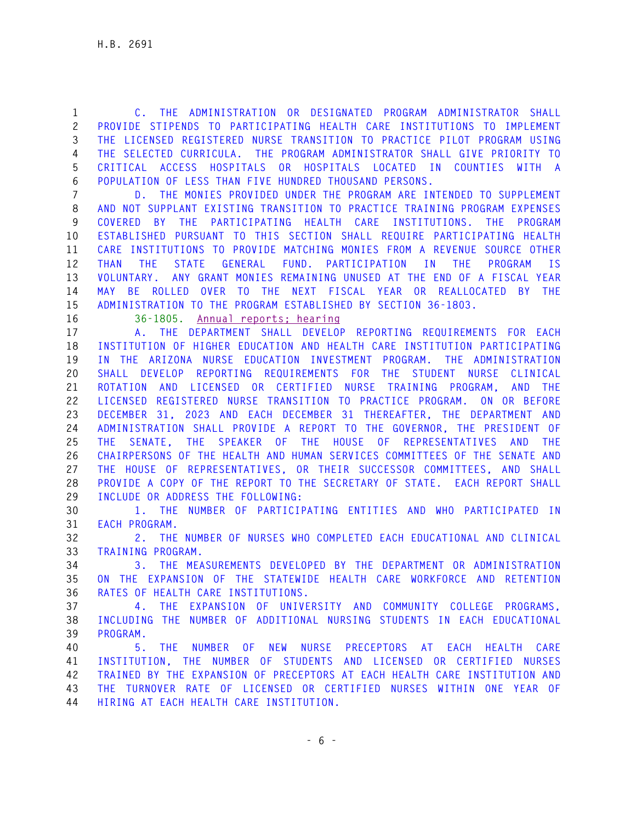**1 C. THE ADMINISTRATION OR DESIGNATED PROGRAM ADMINISTRATOR SHALL 2 PROVIDE STIPENDS TO PARTICIPATING HEALTH CARE INSTITUTIONS TO IMPLEMENT 3 THE LICENSED REGISTERED NURSE TRANSITION TO PRACTICE PILOT PROGRAM USING 4 THE SELECTED CURRICULA. THE PROGRAM ADMINISTRATOR SHALL GIVE PRIORITY TO 5 CRITICAL ACCESS HOSPITALS OR HOSPITALS LOCATED IN COUNTIES WITH A 6 POPULATION OF LESS THAN FIVE HUNDRED THOUSAND PERSONS.** 

**7 D. THE MONIES PROVIDED UNDER THE PROGRAM ARE INTENDED TO SUPPLEMENT 8 AND NOT SUPPLANT EXISTING TRANSITION TO PRACTICE TRAINING PROGRAM EXPENSES 9 COVERED BY THE PARTICIPATING HEALTH CARE INSTITUTIONS. THE PROGRAM 10 ESTABLISHED PURSUANT TO THIS SECTION SHALL REQUIRE PARTICIPATING HEALTH 11 CARE INSTITUTIONS TO PROVIDE MATCHING MONIES FROM A REVENUE SOURCE OTHER 12 THAN THE STATE GENERAL FUND. PARTICIPATION IN THE PROGRAM IS 13 VOLUNTARY. ANY GRANT MONIES REMAINING UNUSED AT THE END OF A FISCAL YEAR 14 MAY BE ROLLED OVER TO THE NEXT FISCAL YEAR OR REALLOCATED BY THE 15 ADMINISTRATION TO THE PROGRAM ESTABLISHED BY SECTION 36-1803.**

**16 36-1805. Annual reports; hearing** 

**17 A. THE DEPARTMENT SHALL DEVELOP REPORTING REQUIREMENTS FOR EACH 18 INSTITUTION OF HIGHER EDUCATION AND HEALTH CARE INSTITUTION PARTICIPATING 19 IN THE ARIZONA NURSE EDUCATION INVESTMENT PROGRAM. THE ADMINISTRATION 20 SHALL DEVELOP REPORTING REQUIREMENTS FOR THE STUDENT NURSE CLINICAL 21 ROTATION AND LICENSED OR CERTIFIED NURSE TRAINING PROGRAM, AND THE 22 LICENSED REGISTERED NURSE TRANSITION TO PRACTICE PROGRAM. ON OR BEFORE 23 DECEMBER 31, 2023 AND EACH DECEMBER 31 THEREAFTER, THE DEPARTMENT AND 24 ADMINISTRATION SHALL PROVIDE A REPORT TO THE GOVERNOR, THE PRESIDENT OF 25 THE SENATE, THE SPEAKER OF THE HOUSE OF REPRESENTATIVES AND THE 26 CHAIRPERSONS OF THE HEALTH AND HUMAN SERVICES COMMITTEES OF THE SENATE AND 27 THE HOUSE OF REPRESENTATIVES, OR THEIR SUCCESSOR COMMITTEES, AND SHALL 28 PROVIDE A COPY OF THE REPORT TO THE SECRETARY OF STATE. EACH REPORT SHALL 29 INCLUDE OR ADDRESS THE FOLLOWING:** 

**30 1. THE NUMBER OF PARTICIPATING ENTITIES AND WHO PARTICIPATED IN 31 EACH PROGRAM.** 

**32 2. THE NUMBER OF NURSES WHO COMPLETED EACH EDUCATIONAL AND CLINICAL 33 TRAINING PROGRAM.** 

**34 3. THE MEASUREMENTS DEVELOPED BY THE DEPARTMENT OR ADMINISTRATION 35 ON THE EXPANSION OF THE STATEWIDE HEALTH CARE WORKFORCE AND RETENTION 36 RATES OF HEALTH CARE INSTITUTIONS.** 

**37 4. THE EXPANSION OF UNIVERSITY AND COMMUNITY COLLEGE PROGRAMS, 38 INCLUDING THE NUMBER OF ADDITIONAL NURSING STUDENTS IN EACH EDUCATIONAL 39 PROGRAM.** 

**40 5. THE NUMBER OF NEW NURSE PRECEPTORS AT EACH HEALTH CARE 41 INSTITUTION, THE NUMBER OF STUDENTS AND LICENSED OR CERTIFIED NURSES 42 TRAINED BY THE EXPANSION OF PRECEPTORS AT EACH HEALTH CARE INSTITUTION AND 43 THE TURNOVER RATE OF LICENSED OR CERTIFIED NURSES WITHIN ONE YEAR OF 44 HIRING AT EACH HEALTH CARE INSTITUTION.**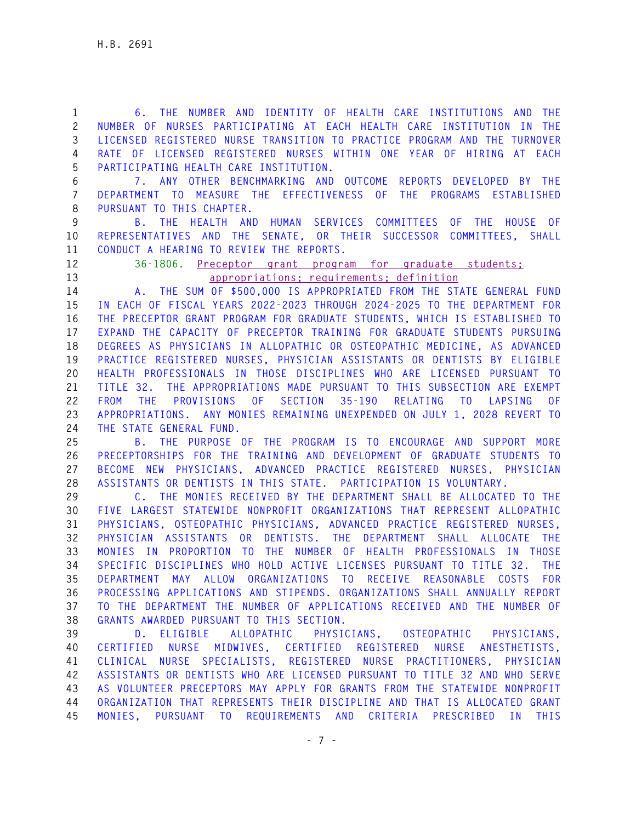**1 6. THE NUMBER AND IDENTITY OF HEALTH CARE INSTITUTIONS AND THE 2 NUMBER OF NURSES PARTICIPATING AT EACH HEALTH CARE INSTITUTION IN THE 3 LICENSED REGISTERED NURSE TRANSITION TO PRACTICE PROGRAM AND THE TURNOVER 4 RATE OF LICENSED REGISTERED NURSES WITHIN ONE YEAR OF HIRING AT EACH 5 PARTICIPATING HEALTH CARE INSTITUTION.** 

**6 7. ANY OTHER BENCHMARKING AND OUTCOME REPORTS DEVELOPED BY THE 7 DEPARTMENT TO MEASURE THE EFFECTIVENESS OF THE PROGRAMS ESTABLISHED 8 PURSUANT TO THIS CHAPTER.** 

**9 B. THE HEALTH AND HUMAN SERVICES COMMITTEES OF THE HOUSE OF 10 REPRESENTATIVES AND THE SENATE, OR THEIR SUCCESSOR COMMITTEES, SHALL 11 CONDUCT A HEARING TO REVIEW THE REPORTS.** 

**12 36-1806. Preceptor grant program for graduate students; 13 appropriations; requirements; definition** 

**14 A. THE SUM OF \$500,000 IS APPROPRIATED FROM THE STATE GENERAL FUND 15 IN EACH OF FISCAL YEARS 2022-2023 THROUGH 2024-2025 TO THE DEPARTMENT FOR 16 THE PRECEPTOR GRANT PROGRAM FOR GRADUATE STUDENTS, WHICH IS ESTABLISHED TO 17 EXPAND THE CAPACITY OF PRECEPTOR TRAINING FOR GRADUATE STUDENTS PURSUING 18 DEGREES AS PHYSICIANS IN ALLOPATHIC OR OSTEOPATHIC MEDICINE, AS ADVANCED 19 PRACTICE REGISTERED NURSES, PHYSICIAN ASSISTANTS OR DENTISTS BY ELIGIBLE 20 HEALTH PROFESSIONALS IN THOSE DISCIPLINES WHO ARE LICENSED PURSUANT TO 21 TITLE 32. THE APPROPRIATIONS MADE PURSUANT TO THIS SUBSECTION ARE EXEMPT 22 FROM THE PROVISIONS OF SECTION 35-190 RELATING TO LAPSING OF 23 APPROPRIATIONS. ANY MONIES REMAINING UNEXPENDED ON JULY 1, 2028 REVERT TO 24 THE STATE GENERAL FUND.** 

**25 B. THE PURPOSE OF THE PROGRAM IS TO ENCOURAGE AND SUPPORT MORE 26 PRECEPTORSHIPS FOR THE TRAINING AND DEVELOPMENT OF GRADUATE STUDENTS TO 27 BECOME NEW PHYSICIANS, ADVANCED PRACTICE REGISTERED NURSES, PHYSICIAN 28 ASSISTANTS OR DENTISTS IN THIS STATE. PARTICIPATION IS VOLUNTARY.** 

**29 C. THE MONIES RECEIVED BY THE DEPARTMENT SHALL BE ALLOCATED TO THE 30 FIVE LARGEST STATEWIDE NONPROFIT ORGANIZATIONS THAT REPRESENT ALLOPATHIC 31 PHYSICIANS, OSTEOPATHIC PHYSICIANS, ADVANCED PRACTICE REGISTERED NURSES, 32 PHYSICIAN ASSISTANTS OR DENTISTS. THE DEPARTMENT SHALL ALLOCATE THE 33 MONIES IN PROPORTION TO THE NUMBER OF HEALTH PROFESSIONALS IN THOSE 34 SPECIFIC DISCIPLINES WHO HOLD ACTIVE LICENSES PURSUANT TO TITLE 32. THE 35 DEPARTMENT MAY ALLOW ORGANIZATIONS TO RECEIVE REASONABLE COSTS FOR 36 PROCESSING APPLICATIONS AND STIPENDS. ORGANIZATIONS SHALL ANNUALLY REPORT 37 TO THE DEPARTMENT THE NUMBER OF APPLICATIONS RECEIVED AND THE NUMBER OF 38 GRANTS AWARDED PURSUANT TO THIS SECTION.** 

**39 D. ELIGIBLE ALLOPATHIC PHYSICIANS, OSTEOPATHIC PHYSICIANS, 40 CERTIFIED NURSE MIDWIVES, CERTIFIED REGISTERED NURSE ANESTHETISTS, 41 CLINICAL NURSE SPECIALISTS, REGISTERED NURSE PRACTITIONERS, PHYSICIAN 42 ASSISTANTS OR DENTISTS WHO ARE LICENSED PURSUANT TO TITLE 32 AND WHO SERVE 43 AS VOLUNTEER PRECEPTORS MAY APPLY FOR GRANTS FROM THE STATEWIDE NONPROFIT 44 ORGANIZATION THAT REPRESENTS THEIR DISCIPLINE AND THAT IS ALLOCATED GRANT 45 MONIES, PURSUANT TO REQUIREMENTS AND CRITERIA PRESCRIBED IN THIS**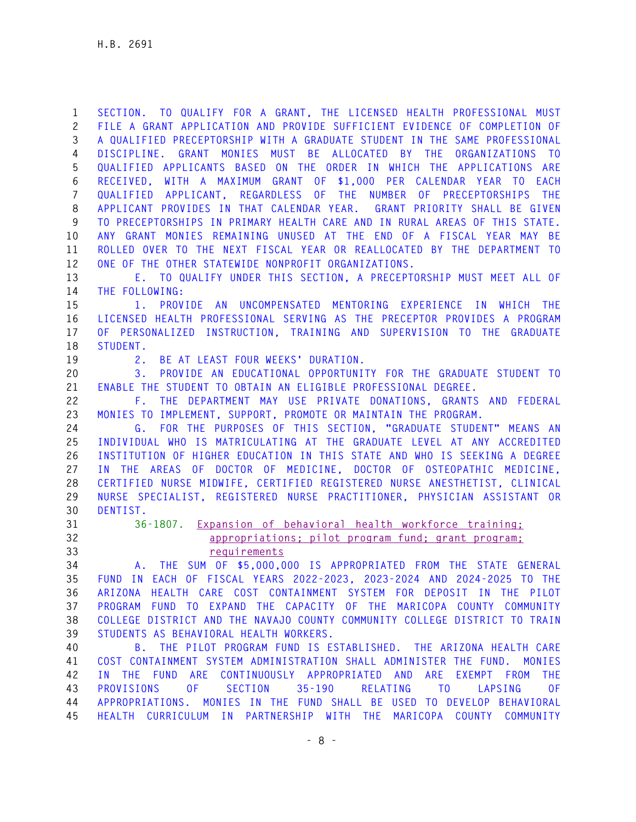**1 SECTION. TO QUALIFY FOR A GRANT, THE LICENSED HEALTH PROFESSIONAL MUST 2 FILE A GRANT APPLICATION AND PROVIDE SUFFICIENT EVIDENCE OF COMPLETION OF 3 A QUALIFIED PRECEPTORSHIP WITH A GRADUATE STUDENT IN THE SAME PROFESSIONAL 4 DISCIPLINE. GRANT MONIES MUST BE ALLOCATED BY THE ORGANIZATIONS TO 5 QUALIFIED APPLICANTS BASED ON THE ORDER IN WHICH THE APPLICATIONS ARE 6 RECEIVED, WITH A MAXIMUM GRANT OF \$1,000 PER CALENDAR YEAR TO EACH 7 QUALIFIED APPLICANT, REGARDLESS OF THE NUMBER OF PRECEPTORSHIPS THE 8 APPLICANT PROVIDES IN THAT CALENDAR YEAR. GRANT PRIORITY SHALL BE GIVEN 9 TO PRECEPTORSHIPS IN PRIMARY HEALTH CARE AND IN RURAL AREAS OF THIS STATE. 10 ANY GRANT MONIES REMAINING UNUSED AT THE END OF A FISCAL YEAR MAY BE 11 ROLLED OVER TO THE NEXT FISCAL YEAR OR REALLOCATED BY THE DEPARTMENT TO 12 ONE OF THE OTHER STATEWIDE NONPROFIT ORGANIZATIONS.** 

**13 E. TO QUALIFY UNDER THIS SECTION, A PRECEPTORSHIP MUST MEET ALL OF 14 THE FOLLOWING:** 

**15 1. PROVIDE AN UNCOMPENSATED MENTORING EXPERIENCE IN WHICH THE 16 LICENSED HEALTH PROFESSIONAL SERVING AS THE PRECEPTOR PROVIDES A PROGRAM 17 OF PERSONALIZED INSTRUCTION, TRAINING AND SUPERVISION TO THE GRADUATE 18 STUDENT.** 

**19 2. BE AT LEAST FOUR WEEKS' DURATION.** 

**20 3. PROVIDE AN EDUCATIONAL OPPORTUNITY FOR THE GRADUATE STUDENT TO 21 ENABLE THE STUDENT TO OBTAIN AN ELIGIBLE PROFESSIONAL DEGREE.** 

**22 F. THE DEPARTMENT MAY USE PRIVATE DONATIONS, GRANTS AND FEDERAL 23 MONIES TO IMPLEMENT, SUPPORT, PROMOTE OR MAINTAIN THE PROGRAM.** 

**24 G. FOR THE PURPOSES OF THIS SECTION, "GRADUATE STUDENT" MEANS AN 25 INDIVIDUAL WHO IS MATRICULATING AT THE GRADUATE LEVEL AT ANY ACCREDITED 26 INSTITUTION OF HIGHER EDUCATION IN THIS STATE AND WHO IS SEEKING A DEGREE 27 IN THE AREAS OF DOCTOR OF MEDICINE, DOCTOR OF OSTEOPATHIC MEDICINE, 28 CERTIFIED NURSE MIDWIFE, CERTIFIED REGISTERED NURSE ANESTHETIST, CLINICAL 29 NURSE SPECIALIST, REGISTERED NURSE PRACTITIONER, PHYSICIAN ASSISTANT OR 30 DENTIST.** 

**31 36-1807. Expansion of behavioral health workforce training; 32 appropriations; pilot program fund; grant program; 33 requirements** 

**34 A. THE SUM OF \$5,000,000 IS APPROPRIATED FROM THE STATE GENERAL 35 FUND IN EACH OF FISCAL YEARS 2022-2023, 2023-2024 AND 2024-2025 TO THE 36 ARIZONA HEALTH CARE COST CONTAINMENT SYSTEM FOR DEPOSIT IN THE PILOT 37 PROGRAM FUND TO EXPAND THE CAPACITY OF THE MARICOPA COUNTY COMMUNITY 38 COLLEGE DISTRICT AND THE NAVAJO COUNTY COMMUNITY COLLEGE DISTRICT TO TRAIN 39 STUDENTS AS BEHAVIORAL HEALTH WORKERS.** 

**40 B. THE PILOT PROGRAM FUND IS ESTABLISHED. THE ARIZONA HEALTH CARE 41 COST CONTAINMENT SYSTEM ADMINISTRATION SHALL ADMINISTER THE FUND. MONIES 42 IN THE FUND ARE CONTINUOUSLY APPROPRIATED AND ARE EXEMPT FROM THE 43 PROVISIONS OF SECTION 35-190 RELATING TO LAPSING OF 44 APPROPRIATIONS. MONIES IN THE FUND SHALL BE USED TO DEVELOP BEHAVIORAL 45 HEALTH CURRICULUM IN PARTNERSHIP WITH THE MARICOPA COUNTY COMMUNITY**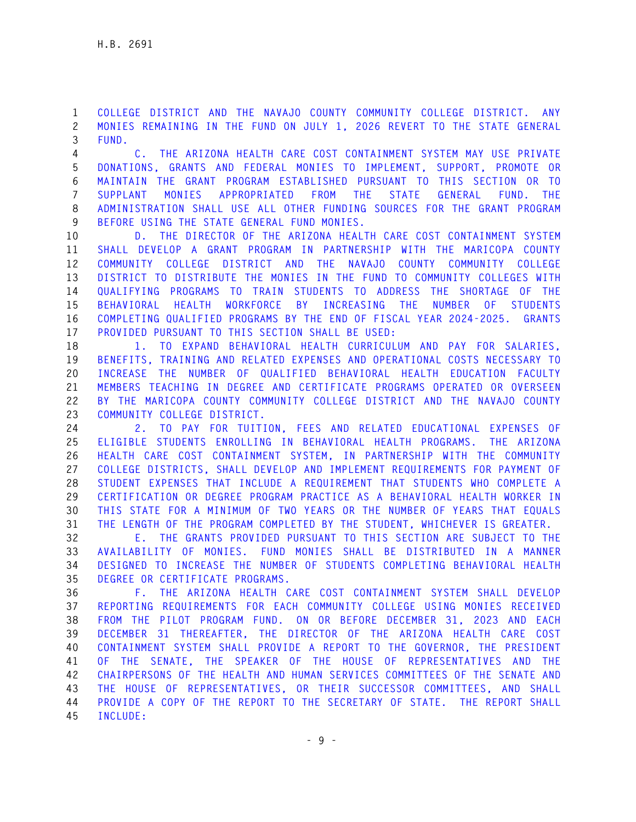**1 COLLEGE DISTRICT AND THE NAVAJO COUNTY COMMUNITY COLLEGE DISTRICT. ANY 2 MONIES REMAINING IN THE FUND ON JULY 1, 2026 REVERT TO THE STATE GENERAL 3 FUND.** 

**4 C. THE ARIZONA HEALTH CARE COST CONTAINMENT SYSTEM MAY USE PRIVATE 5 DONATIONS, GRANTS AND FEDERAL MONIES TO IMPLEMENT, SUPPORT, PROMOTE OR 6 MAINTAIN THE GRANT PROGRAM ESTABLISHED PURSUANT TO THIS SECTION OR TO 7 SUPPLANT MONIES APPROPRIATED FROM THE STATE GENERAL FUND. THE 8 ADMINISTRATION SHALL USE ALL OTHER FUNDING SOURCES FOR THE GRANT PROGRAM 9 BEFORE USING THE STATE GENERAL FUND MONIES.** 

**10 D. THE DIRECTOR OF THE ARIZONA HEALTH CARE COST CONTAINMENT SYSTEM 11 SHALL DEVELOP A GRANT PROGRAM IN PARTNERSHIP WITH THE MARICOPA COUNTY 12 COMMUNITY COLLEGE DISTRICT AND THE NAVAJO COUNTY COMMUNITY COLLEGE 13 DISTRICT TO DISTRIBUTE THE MONIES IN THE FUND TO COMMUNITY COLLEGES WITH 14 QUALIFYING PROGRAMS TO TRAIN STUDENTS TO ADDRESS THE SHORTAGE OF THE 15 BEHAVIORAL HEALTH WORKFORCE BY INCREASING THE NUMBER OF STUDENTS 16 COMPLETING QUALIFIED PROGRAMS BY THE END OF FISCAL YEAR 2024-2025. GRANTS 17 PROVIDED PURSUANT TO THIS SECTION SHALL BE USED:** 

**18 1. TO EXPAND BEHAVIORAL HEALTH CURRICULUM AND PAY FOR SALARIES, 19 BENEFITS, TRAINING AND RELATED EXPENSES AND OPERATIONAL COSTS NECESSARY TO 20 INCREASE THE NUMBER OF QUALIFIED BEHAVIORAL HEALTH EDUCATION FACULTY 21 MEMBERS TEACHING IN DEGREE AND CERTIFICATE PROGRAMS OPERATED OR OVERSEEN 22 BY THE MARICOPA COUNTY COMMUNITY COLLEGE DISTRICT AND THE NAVAJO COUNTY 23 COMMUNITY COLLEGE DISTRICT.** 

**24 2. TO PAY FOR TUITION, FEES AND RELATED EDUCATIONAL EXPENSES OF 25 ELIGIBLE STUDENTS ENROLLING IN BEHAVIORAL HEALTH PROGRAMS. THE ARIZONA 26 HEALTH CARE COST CONTAINMENT SYSTEM, IN PARTNERSHIP WITH THE COMMUNITY 27 COLLEGE DISTRICTS, SHALL DEVELOP AND IMPLEMENT REQUIREMENTS FOR PAYMENT OF 28 STUDENT EXPENSES THAT INCLUDE A REQUIREMENT THAT STUDENTS WHO COMPLETE A 29 CERTIFICATION OR DEGREE PROGRAM PRACTICE AS A BEHAVIORAL HEALTH WORKER IN 30 THIS STATE FOR A MINIMUM OF TWO YEARS OR THE NUMBER OF YEARS THAT EQUALS 31 THE LENGTH OF THE PROGRAM COMPLETED BY THE STUDENT, WHICHEVER IS GREATER.** 

**32 E. THE GRANTS PROVIDED PURSUANT TO THIS SECTION ARE SUBJECT TO THE 33 AVAILABILITY OF MONIES. FUND MONIES SHALL BE DISTRIBUTED IN A MANNER 34 DESIGNED TO INCREASE THE NUMBER OF STUDENTS COMPLETING BEHAVIORAL HEALTH 35 DEGREE OR CERTIFICATE PROGRAMS.** 

**36 F. THE ARIZONA HEALTH CARE COST CONTAINMENT SYSTEM SHALL DEVELOP 37 REPORTING REQUIREMENTS FOR EACH COMMUNITY COLLEGE USING MONIES RECEIVED 38 FROM THE PILOT PROGRAM FUND. ON OR BEFORE DECEMBER 31, 2023 AND EACH 39 DECEMBER 31 THEREAFTER, THE DIRECTOR OF THE ARIZONA HEALTH CARE COST 40 CONTAINMENT SYSTEM SHALL PROVIDE A REPORT TO THE GOVERNOR, THE PRESIDENT 41 OF THE SENATE, THE SPEAKER OF THE HOUSE OF REPRESENTATIVES AND THE 42 CHAIRPERSONS OF THE HEALTH AND HUMAN SERVICES COMMITTEES OF THE SENATE AND 43 THE HOUSE OF REPRESENTATIVES, OR THEIR SUCCESSOR COMMITTEES, AND SHALL 44 PROVIDE A COPY OF THE REPORT TO THE SECRETARY OF STATE. THE REPORT SHALL 45 INCLUDE:**